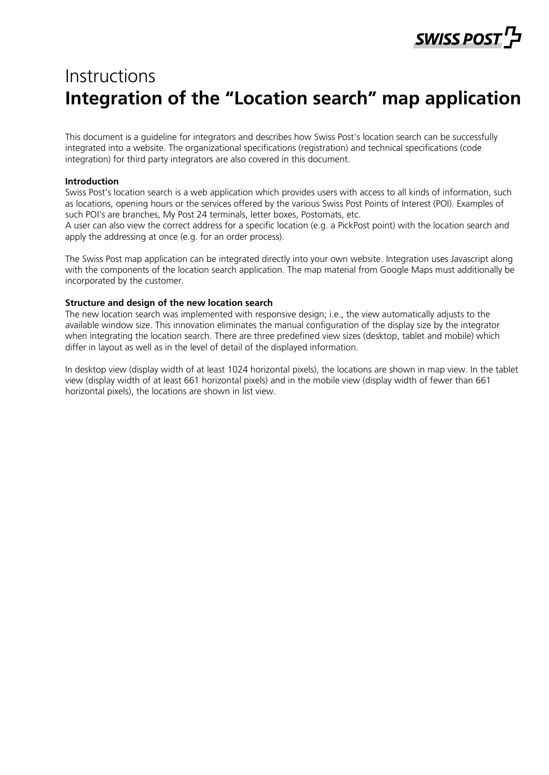### ל 'SWISS POST

### Instructions **Integration of the "Location search" map application**

This document is a guideline for integrators and describes how Swiss Post's location search can be successfully integrated into a website. The organizational specifications (registration) and technical specifications (code integration) for third party integrators are also covered in this document.

#### **Introduction**

Swiss Post's location search is a web application which provides users with access to all kinds of information, such as locations, opening hours or the services offered by the various Swiss Post Points of Interest (POI). Examples of such POI's are branches, My Post 24 terminals, letter boxes, Postomats, etc.

A user can also view the correct address for a specific location (e.g. a PickPost point) with the location search and apply the addressing at once (e.g. for an order process).

The Swiss Post map application can be integrated directly into your own website. Integration uses Javascript along with the components of the location search application. The map material from Google Maps must additionally be incorporated by the customer.

#### **Structure and design of the new location search**

The new location search was implemented with responsive design; i.e., the view automatically adjusts to the available window size. This innovation eliminates the manual configuration of the display size by the integrator when integrating the location search. There are three predefined view sizes (desktop, tablet and mobile) which differ in layout as well as in the level of detail of the displayed information.

In desktop view (display width of at least 1024 horizontal pixels), the locations are shown in map view. In the tablet view (display width of at least 661 horizontal pixels) and in the mobile view (display width of fewer than 661 horizontal pixels), the locations are shown in list view.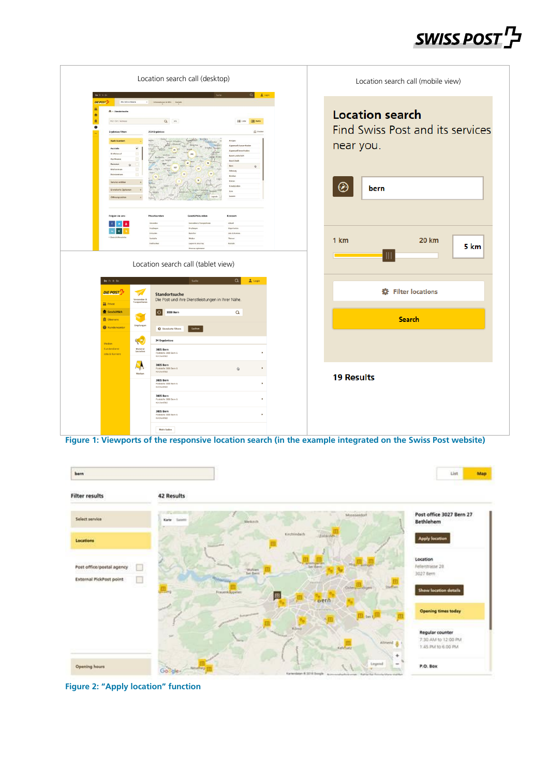# SWISS POST<sup>T</sup>

|                                                                                                                                                                                                                                                                          | Location search call (desktop)                                                                                                                                                                                                            |                                                                                                                                                                                                                                                                               | Location search call (mobile view)                                                   |
|--------------------------------------------------------------------------------------------------------------------------------------------------------------------------------------------------------------------------------------------------------------------------|-------------------------------------------------------------------------------------------------------------------------------------------------------------------------------------------------------------------------------------------|-------------------------------------------------------------------------------------------------------------------------------------------------------------------------------------------------------------------------------------------------------------------------------|--------------------------------------------------------------------------------------|
| De 7r 11 St<br>DIE POST <sup>T</sup><br>Alle Galles Dienste<br>盆<br>ft - Standortsuche<br>٠<br>直<br>RZ/Ort/Advesse<br>ó<br><b>Ergebnisse filtern</b><br><b>Nach Standort</b><br>$\checkmark$<br>Poststalle<br>a<br><b>Briefelmener</b><br>iervice will<br>Fruisiterta On | $\mathbf{Q}_{i} = \mathbf{H}^{(i)}$<br>2134 Ergebnisse                                                                                                                                                                                    | $\alpha$<br><b>L</b> Light<br>IE Liste <b>OD</b> Kerte<br>$\frac{1}{2\sqrt{3}}$ trucker<br>Aargas<br>Appenzell As<br><b>Appenzed Inn</b><br><b>Basel-Landschaft</b><br><b>Basel-Stadt</b><br><b>Born</b><br><b>Tribourg</b><br>Genitus<br>Glanus<br>Graubünde<br>iva<br>Luxer | <b>Location search</b><br>Find Swiss Post and its services<br>near you.<br>Ø<br>bern |
| Folgen sie uns<br>in $K$<br>De Fr It En                                                                                                                                                                                                                                  | Privatkunden<br>Geschäftskunder<br>Versenden & Trans<br>Venerales<br>Employee<br>Englange<br>Einkesten<br><b>Restallos</b><br>Poststelle<br>mirtie<br>Lapers & Deschleg<br><b>Distrate</b><br>Location search call (tablet view)<br>Suche | Konzem<br>Aktuell<br>Organisatio<br>John & Karrier<br><b>There</b><br>Komate<br>$\alpha$<br>$2$ Login                                                                                                                                                                         | 1 km<br><b>20 km</b><br>5 km                                                         |
| DIE POST <sup>I'</sup><br>W<br>Versenden &<br>Tranportieren<br><b>At</b> Privat                                                                                                                                                                                          | Standortsuche<br>Die Post und ihre Dienstleistungen in Ihrer Nähe.                                                                                                                                                                        |                                                                                                                                                                                                                                                                               | <b>卷</b> Filter locations                                                            |
| Geschäftlich<br>N.<br>$\underline{\widehat{\mathbf{m}}}$ Über uns<br>Empfanger<br><b>Wundencenter</b><br>R<br>Medien<br>Kundendienst<br>Material<br>bestellen<br>Jobs & Karriere                                                                                         | 3000 Bern<br>Standorte filtern<br>Suchen<br>34 Ergebnisse<br>3005 Bern<br>Poststelle 3000 Bern 6<br>Kirchenfeld                                                                                                                           | $\alpha$                                                                                                                                                                                                                                                                      | <b>Search</b>                                                                        |
| $\rightarrow$<br>Werber                                                                                                                                                                                                                                                  | 3005 Bern<br>Poststelle 3000 Bern 6<br>Kirchenfeld<br>3005 Bern<br>Poststelle 3000 Bern 6<br>Kirchenfeld<br>3005 Bern<br>Poststelle 3000 Bern 6<br>Kirchenfeld<br>3005 Bern<br>Poststelle 3000 Bern 6<br>Kirchenfeld<br>Mehr laden        | $\ddot{Q}$                                                                                                                                                                                                                                                                    | <b>19 Results</b>                                                                    |

**Figure 1: Viewports of the responsive location search (in the example integrated on the Swiss Post website)**



**Figure 2: "Apply location" function**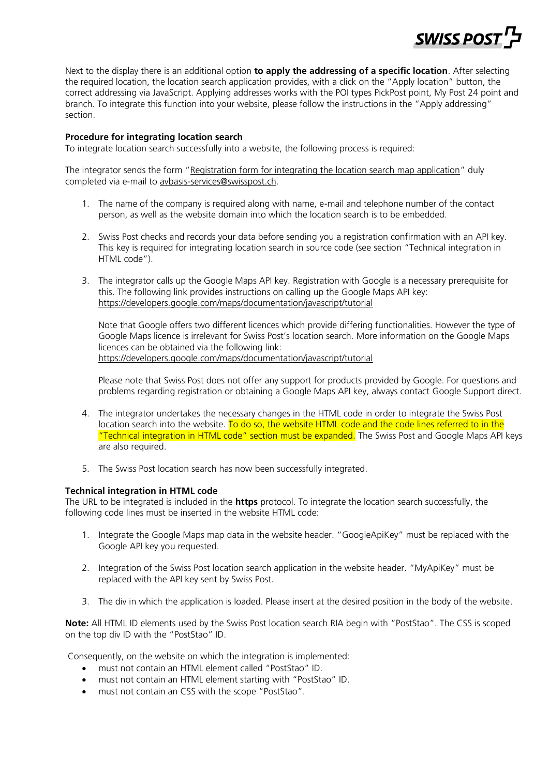

Next to the display there is an additional option **to apply the addressing of a specific location**. After selecting the required location, the location search application provides, with a click on the "Apply location" button, the correct addressing via JavaScript. Applying addresses works with the POI types PickPost point, My Post 24 point and branch. To integrate this function into your website, please follow the instructions in the "Apply addressing" section.

#### **Procedure for integrating location search**

To integrate location search successfully into a website, the following process is required:

The integrator sends the form "[Registration form for integrating the location search map application](https://www.post.ch/en/business/a-z-of-subjects/practical-tips-recipient-customers/recipient-services-parcels/pickpost-my-post-24-support/registration-form-location-search)" duly completed via e-mail to [avbasis-services@swisspost.ch.](mailto:avbasis-services@swisspost.ch)

- 1. The name of the company is required along with name, e-mail and telephone number of the contact person, as well as the website domain into which the location search is to be embedded.
- 2. Swiss Post checks and records your data before sending you a registration confirmation with an API key. This key is required for integrating location search in source code (see section "Technical integration in HTML code").
- 3. The integrator calls up the Google Maps API key. Registration with Google is a necessary prerequisite for this. The following link provides instructions on calling up the Google Maps API key: [https://developers.google.com/maps/documentation/javascript/tutorial](https://developers.google.com/maps/documentation/javascript/tutorial#api_key)

Note that Google offers two different licences which provide differing functionalities. However the type of Google Maps licence is irrelevant for Swiss Post's location search. More information on the Google Maps licences can be obtained via the following link: [https://developers.google.com/maps/documentation/javascript/tutorial](https://developers.google.com/maps/documentation/javascript/tutorial#api_key)

Please note that Swiss Post does not offer any support for products provided by Google. For questions and problems regarding registration or obtaining a Google Maps API key, always contact Google Support direct.

- 4. The integrator undertakes the necessary changes in the HTML code in order to integrate the Swiss Post location search into the website. To do so, the website HTML code and the code lines referred to in the "Technical integration in HTML code" section must be expanded. The Swiss Post and Google Maps API keys are also required.
- 5. The Swiss Post location search has now been successfully integrated.

#### **Technical integration in HTML code**

The URL to be integrated is included in the **https** protocol. To integrate the location search successfully, the following code lines must be inserted in the website HTML code:

- 1. Integrate the Google Maps map data in the website header. "GoogleApiKey" must be replaced with the Google API key you requested.
- 2. Integration of the Swiss Post location search application in the website header. "MyApiKey" must be replaced with the API key sent by Swiss Post.
- 3. The div in which the application is loaded. Please insert at the desired position in the body of the website.

**Note:** All HTML ID elements used by the Swiss Post location search RIA begin with "PostStao". The CSS is scoped on the top div ID with the "PostStao" ID.

Consequently, on the website on which the integration is implemented:

- must not contain an HTML element called "PostStao" ID.
- must not contain an HTML element starting with "PostStao" ID.
- must not contain an CSS with the scope "PostStao".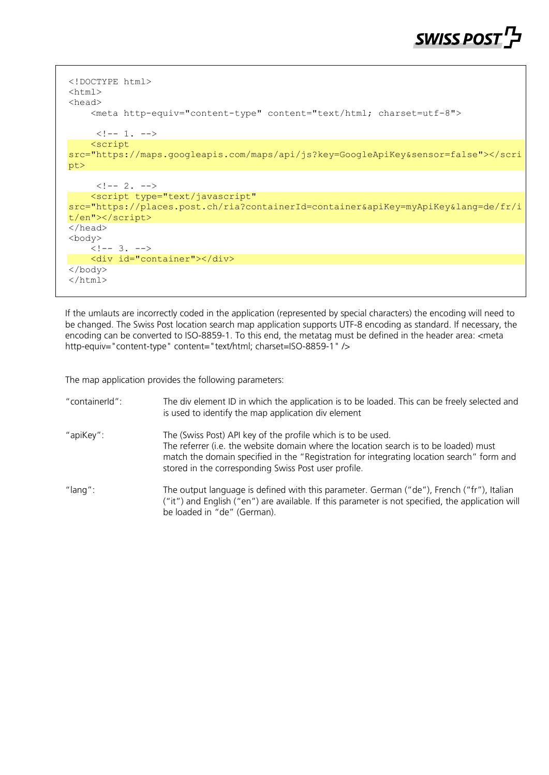## **SWISS POST**

```
<!DOCTYPE html>
<html>
<head>
     <meta http-equiv="content-type" content="text/html; charset=utf-8">
     \langle!-- 1. -->
     <script 
src="https://maps.googleapis.com/maps/api/js?key=GoogleApiKey&sensor=false"></scri
pt>
     \langle!-- 2. -->
     <script type="text/javascript" 
src="https://places.post.ch/ria?containerId=container&apiKey=myApiKey&lang=de/fr/i
t/en"></script>
</head>
<body>
    \left\{ 1--3, ---2 \right\} <div id="container"></div>
</body>
</html>
```
If the umlauts are incorrectly coded in the application (represented by special characters) the encoding will need to be changed. The Swiss Post location search map application supports UTF-8 encoding as standard. If necessary, the encoding can be converted to ISO-8859-1. To this end, the metatag must be defined in the header area: <meta http-equiv="content-type" content="text/html; charset=ISO-8859-1" />

The map application provides the following parameters:

| "containerId": | The div element ID in which the application is to be loaded. This can be freely selected and<br>is used to identify the map application div element                                                                                                                                                        |
|----------------|------------------------------------------------------------------------------------------------------------------------------------------------------------------------------------------------------------------------------------------------------------------------------------------------------------|
| "apiKey":      | The (Swiss Post) API key of the profile which is to be used.<br>The referrer (i.e. the website domain where the location search is to be loaded) must<br>match the domain specified in the "Registration for integrating location search" form and<br>stored in the corresponding Swiss Post user profile. |
| " $lanq$ ":    | The output language is defined with this parameter. German ("de"), French ("fr"), Italian<br>("it") and English ("en") are available. If this parameter is not specified, the application will<br>be loaded in "de" (German).                                                                              |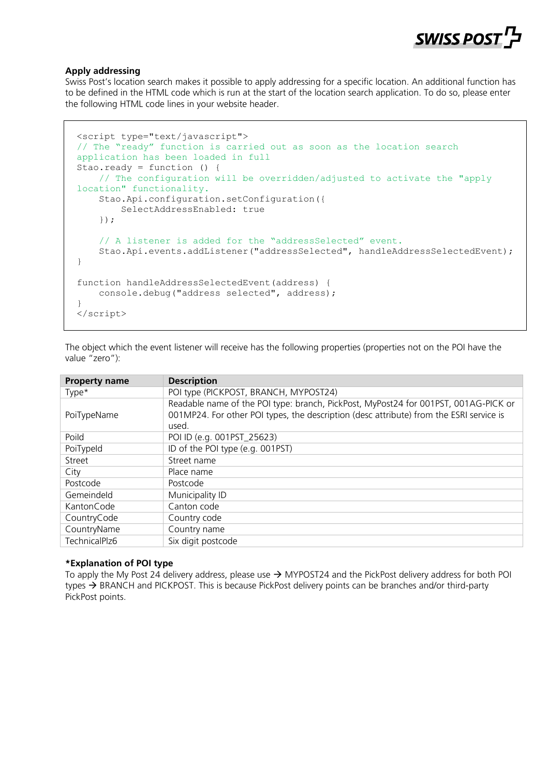

#### **Apply addressing**

Swiss Post's location search makes it possible to apply addressing for a specific location. An additional function has to be defined in the HTML code which is run at the start of the location search application. To do so, please enter the following HTML code lines in your website header.

```
<script type="text/javascript">
// The "ready" function is carried out as soon as the location search 
application has been loaded in full
Stao.ready = function () {
     // The configuration will be overridden/adjusted to activate the "apply 
location" functionality.
     Stao.Api.configuration.setConfiguration({
         SelectAddressEnabled: true
     });
    // A listener is added for the "addressSelected" event.
    Stao.Api.events.addListener("addressSelected", handleAddressSelectedEvent);
}
function handleAddressSelectedEvent(address) {
     console.debug("address selected", address);
}
</script>
```
The object which the event listener will receive has the following properties (properties not on the POI have the value "zero"):

| <b>Property name</b> | <b>Description</b>                                                                                                                                                                      |
|----------------------|-----------------------------------------------------------------------------------------------------------------------------------------------------------------------------------------|
| Type*                | POI type (PICKPOST, BRANCH, MYPOST24)                                                                                                                                                   |
| PoiTypeName          | Readable name of the POI type: branch, PickPost, MyPost24 for 001PST, 001AG-PICK or<br>001MP24. For other POI types, the description (desc attribute) from the ESRI service is<br>used. |
| Poild                | POI ID (e.g. 001PST_25623)                                                                                                                                                              |
| PoiTypeld            | ID of the POI type (e.g. 001PST)                                                                                                                                                        |
| Street               | Street name                                                                                                                                                                             |
| City                 | Place name                                                                                                                                                                              |
| Postcode             | Postcode                                                                                                                                                                                |
| Gemeindeld           | Municipality ID                                                                                                                                                                         |
| KantonCode           | Canton code                                                                                                                                                                             |
| CountryCode          | Country code                                                                                                                                                                            |
| CountryName          | Country name                                                                                                                                                                            |
| TechnicalPlz6        | Six digit postcode                                                                                                                                                                      |

#### **\*Explanation of POI type**

To apply the My Post 24 delivery address, please use  $\rightarrow$  MYPOST24 and the PickPost delivery address for both POI types  $\rightarrow$  BRANCH and PICKPOST. This is because PickPost delivery points can be branches and/or third-party PickPost points.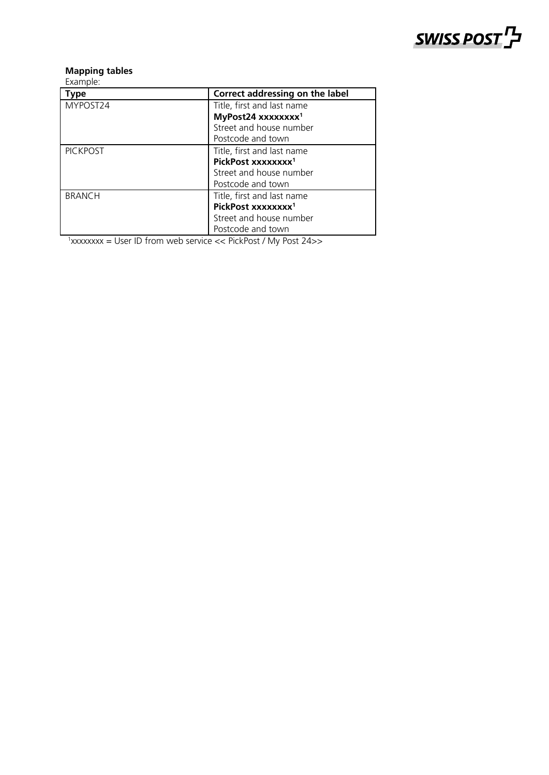

#### **Mapping tables**

Example:

| Type            | Correct addressing on the label |
|-----------------|---------------------------------|
| MYPOST24        | Title, first and last name      |
|                 | MyPost24 xxxxxxxx <sup>1</sup>  |
|                 | Street and house number         |
|                 | Postcode and town               |
| <b>PICKPOST</b> | Title, first and last name      |
|                 | PickPost xxxxxxxx <sup>1</sup>  |
|                 | Street and house number         |
|                 | Postcode and town               |
| <b>BRANCH</b>   | Title, first and last name      |
|                 | PickPost xxxxxxxx <sup>1</sup>  |
|                 | Street and house number         |
|                 | Postcode and town               |

<sup>1</sup>xxxxxxxx = User ID from web service << PickPost / My Post 24>>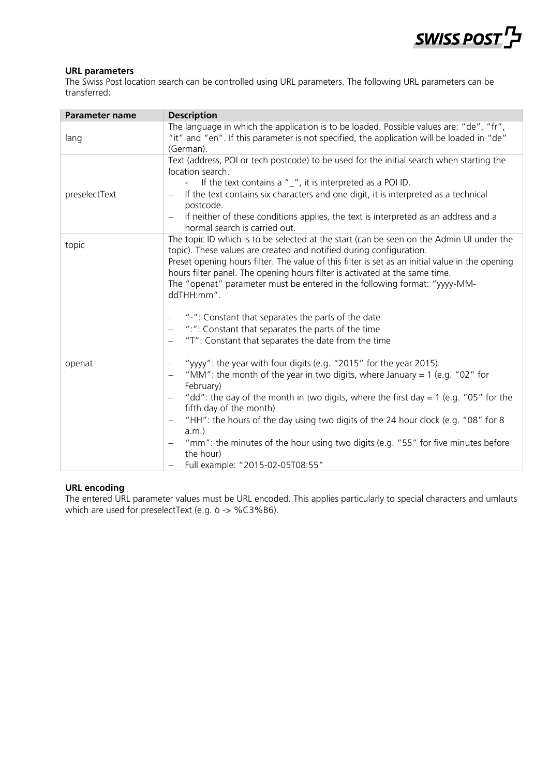

#### **URL parameters**

The Swiss Post location search can be controlled using URL parameters. The following URL parameters can be transferred:

| <b>Parameter name</b> | <b>Description</b>                                                                                                                                                                                                                                                                                                                                                                                                                                                                                                                                                                                                                                                                                                                                                                                                                                                                                                                                                                                    |  |  |  |
|-----------------------|-------------------------------------------------------------------------------------------------------------------------------------------------------------------------------------------------------------------------------------------------------------------------------------------------------------------------------------------------------------------------------------------------------------------------------------------------------------------------------------------------------------------------------------------------------------------------------------------------------------------------------------------------------------------------------------------------------------------------------------------------------------------------------------------------------------------------------------------------------------------------------------------------------------------------------------------------------------------------------------------------------|--|--|--|
| lang                  | The language in which the application is to be loaded. Possible values are: "de", "fr",<br>"it" and "en". If this parameter is not specified, the application will be loaded in "de"<br>(German).                                                                                                                                                                                                                                                                                                                                                                                                                                                                                                                                                                                                                                                                                                                                                                                                     |  |  |  |
| preselectText         | Text (address, POI or tech postcode) to be used for the initial search when starting the<br>location search.<br>If the text contains a $"$ _ $"$ , it is interpreted as a POI ID.<br>If the text contains six characters and one digit, it is interpreted as a technical<br>postcode.<br>If neither of these conditions applies, the text is interpreted as an address and a<br>normal search is carried out.                                                                                                                                                                                                                                                                                                                                                                                                                                                                                                                                                                                         |  |  |  |
| topic                 | The topic ID which is to be selected at the start (can be seen on the Admin UI under the<br>topic). These values are created and notified during configuration.                                                                                                                                                                                                                                                                                                                                                                                                                                                                                                                                                                                                                                                                                                                                                                                                                                       |  |  |  |
| openat                | Preset opening hours filter. The value of this filter is set as an initial value in the opening<br>hours filter panel. The opening hours filter is activated at the same time.<br>The "openat" parameter must be entered in the following format: "yyyy-MM-<br>ddTHH:mm".<br>"-": Constant that separates the parts of the date<br>":": Constant that separates the parts of the time<br>"T": Constant that separates the date from the time<br>$\overline{\phantom{m}}$<br>"yyyy": the year with four digits (e.g. "2015" for the year 2015)<br>"MM": the month of the year in two digits, where January = 1 (e.g. "02" for<br>February)<br>"dd": the day of the month in two digits, where the first day = $1$ (e.g. "05" for the<br>fifth day of the month)<br>"HH": the hours of the day using two digits of the 24 hour clock (e.g. "08" for 8<br>$a.m.$ )<br>"mm": the minutes of the hour using two digits (e.g. "55" for five minutes before<br>the hour)<br>Full example: "2015-02-05T08:55" |  |  |  |

#### **URL encoding**

The entered URL parameter values must be URL encoded. This applies particularly to special characters and umlauts which are used for preselectText (e.g. ö -> %C3%B6).